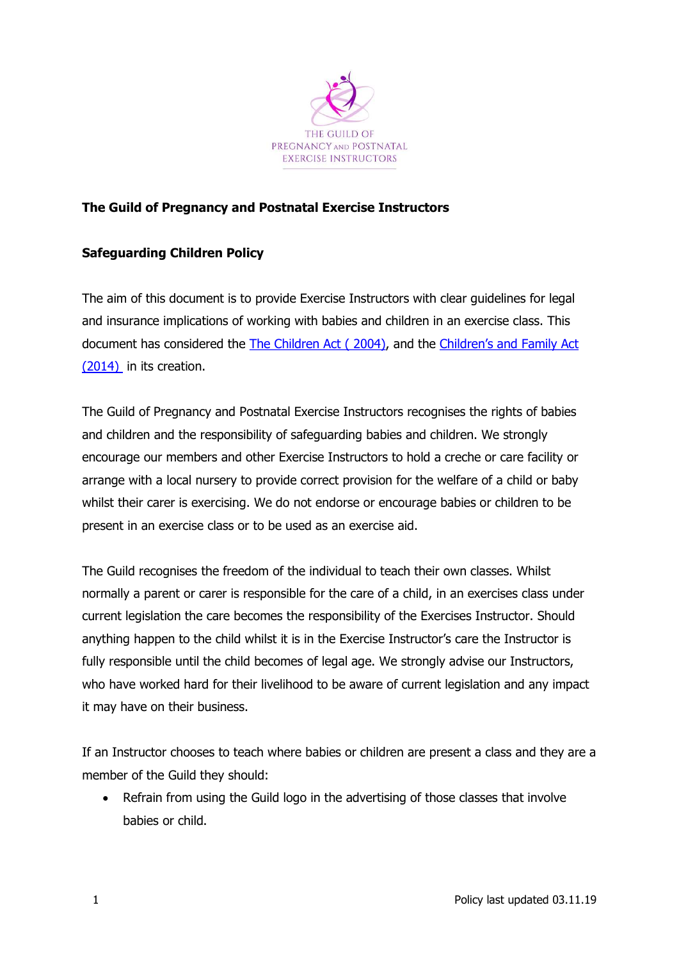

## The Guild of Pregnancy and Postnatal Exercise Instructors

## Safeguarding Children Policy

The aim of this document is to provide Exercise Instructors with clear guidelines for legal and insurance implications of working with babies and children in an exercise class. This document has considered the The Children Act ( 2004), and the Children's and Family Act (2014) in its creation.

The Guild of Pregnancy and Postnatal Exercise Instructors recognises the rights of babies and children and the responsibility of safeguarding babies and children. We strongly encourage our members and other Exercise Instructors to hold a creche or care facility or arrange with a local nursery to provide correct provision for the welfare of a child or baby whilst their carer is exercising. We do not endorse or encourage babies or children to be present in an exercise class or to be used as an exercise aid.

The Guild recognises the freedom of the individual to teach their own classes. Whilst normally a parent or carer is responsible for the care of a child, in an exercises class under current legislation the care becomes the responsibility of the Exercises Instructor. Should anything happen to the child whilst it is in the Exercise Instructor's care the Instructor is fully responsible until the child becomes of legal age. We strongly advise our Instructors, who have worked hard for their livelihood to be aware of current legislation and any impact it may have on their business.

If an Instructor chooses to teach where babies or children are present a class and they are a member of the Guild they should:

• Refrain from using the Guild logo in the advertising of those classes that involve babies or child.